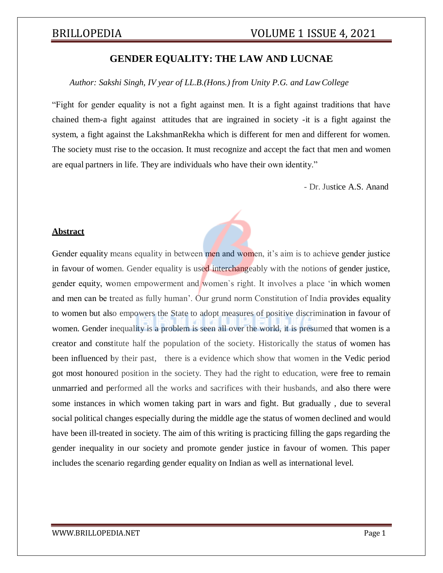## **GENDER EQUALITY: THE LAW AND LUCNAE**

*Author: Sakshi Singh, IV year of LL.B.(Hons.) from Unity P.G. and LawCollege*

"Fight for gender equality is not a fight against men. It is a fight against traditions that have chained them-a fight against attitudes that are ingrained in society -it is a fight against the system, a fight against the LakshmanRekha which is different for men and different for women. The society must rise to the occasion. It must recognize and accept the fact that men and women are equal partners in life. They are individuals who have their own identity."

- Dr. Justice A.S. Anand

### **Abstract**

Gender equality means equality in between men and women, it's aim is to achieve gender justice in favour of women. Gender equality is used interchangeably with the notions of gender justice, gender equity, women empowerment and women`s right. It involves a place 'in which women and men can be treated as fully human'. Our grund norm Constitution of India provides equality to women but also empowers the State to adopt measures of positive discrimination in favour of women. Gender inequality is a problem is seen all over the world, it is presumed that women is a creator and constitute half the population of the society. Historically the status of women has been influenced by their past, there is a evidence which show that women in the Vedic period got most honoured position in the society. They had the right to education, were free to remain unmarried and performed all the works and sacrifices with their husbands, and also there were some instances in which women taking part in wars and fight. But gradually , due to several social political changes especially during the middle age the status of women declined and would have been ill-treated in society. The aim of this writing is practicing filling the gaps regarding the gender inequality in our society and promote gender justice in favour of women. This paper includes the scenario regarding gender equality on Indian as well as international level.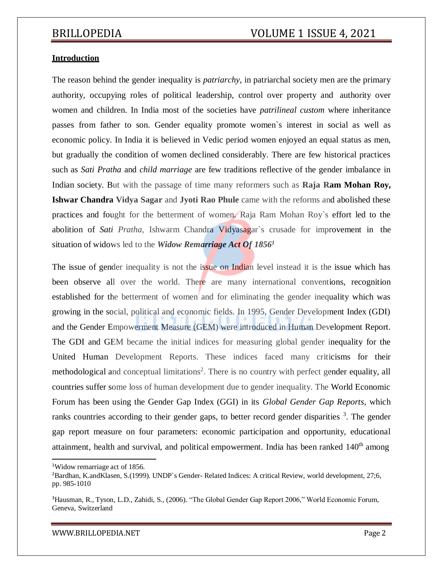### **Introduction**

The reason behind the gender inequality is *patriarchy*, in patriarchal society men are the primary authority, occupying roles of political leadership, control over property and authority over women and children. In India most of the societies have *patrilineal custom* where inheritance passes from father to son. Gender equality promote women`s interest in social as well as economic policy. In India it is believed in Vedic period women enjoyed an equal status as men, but gradually the condition of women declined considerably. There are few historical practices such as *Sati Pratha* and *child marriage* are few traditions reflective of the gender imbalance in Indian society. But with the passage of time many reformers such as **Raja Ram Mohan Roy, Ishwar Chandra Vidya Sagar** and **Jyoti Rao Phule** came with the reforms and abolished these practices and fought for the betterment of women. Raja Ram Mohan Roy`s effort led to the abolition of *Sati Pratha,* Ishwarm Chandra Vidyasagar`s crusade for improvement in the situation of widows led to the *Widow Remarriage Act Of 1856<sup>1</sup>*

The issue of gender inequality is not the issue on Indian level instead it is the issue which has been observe all over the world. There are many international conventions, recognition established for the betterment of women and for eliminating the gender inequality which was growing in the social, political and economic fields. In 1995, Gender Development Index (GDI) and the Gender Empowerment Measure (GEM) were introduced in Human Development Report. The GDI and GEM became the initial indices for measuring global gender inequality for the United Human Development Reports. These indices faced many criticisms for their methodological and conceptual limitations<sup>2</sup>. There is no country with perfect gender equality, all countries suffer some loss of human development due to gender inequality. The World Economic Forum has been using the Gender Gap Index (GGI) in its *Global Gender Gap Reports*, which ranks countries according to their gender gaps, to better record gender disparities <sup>3</sup>. The gender gap report measure on four parameters: economic participation and opportunity, educational attainment, health and survival, and political empowerment. India has been ranked  $140<sup>th</sup>$  among

<sup>1</sup>Widow remarriage act of 1856.

<sup>2</sup>Bardhan, K.andKlasen, S.(1999). UNDP`s Gender- Related Indices: A critical Review, world development, 27;6, pp. 985-1010

<sup>&</sup>lt;sup>3</sup>Hausman, R., Tyson, L.D., Zahidi, S., (2006). "The Global Gender Gap Report 2006," World Economic Forum, Geneva, Switzerland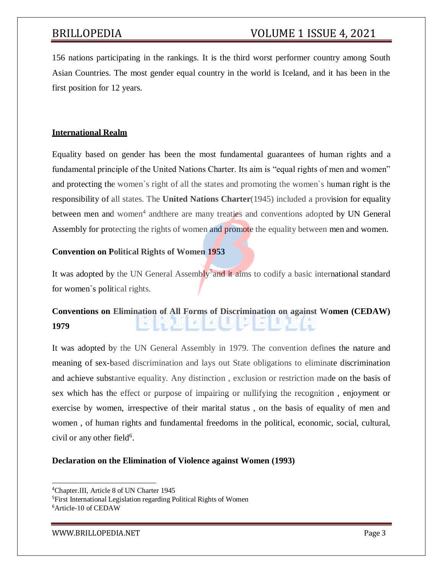156 nations participating in the rankings. It is the third worst performer country among South Asian Countries. The most gender equal country in the world is Iceland, and it has been in the first position for 12 years.

### **International Realm**

Equality based on gender has been the most fundamental guarantees of human rights and a fundamental principle of the United Nations Charter. Its aim is "equal rights of men and women" and protecting the women`s right of all the states and promoting the women`s human right is the responsibility of all states. The **United Nations Charter**(1945) included a provision for equality between men and women<sup>4</sup> andthere are many treaties and conventions adopted by UN General Assembly for protecting the rights of women and promote the equality between men and women.

### **Convention on Political Rights of Women 1953**

It was adopted by the UN General Assembly<sup>5</sup> and it aims to codify a basic international standard for women`s political rights.

# **Conventions on Elimination of All Forms of Discrimination on against Women (CEDAW) 1979**

It was adopted by the UN General Assembly in 1979. The convention defines the nature and meaning of sex-based discrimination and lays out State obligations to eliminate discrimination and achieve substantive equality. Any distinction , exclusion or restriction made on the basis of sex which has the effect or purpose of impairing or nullifying the recognition , enjoyment or exercise by women, irrespective of their marital status , on the basis of equality of men and women , of human rights and fundamental freedoms in the political, economic, social, cultural, civil or any other field<sup>6</sup>.

### **Declaration on the Elimination of Violence against Women (1993)**

<sup>4</sup>Chapter.III, Article 8 of UN Charter 1945

<sup>5</sup>First International Legislation regarding Political Rights of Women <sup>6</sup>Article-10 of CEDAW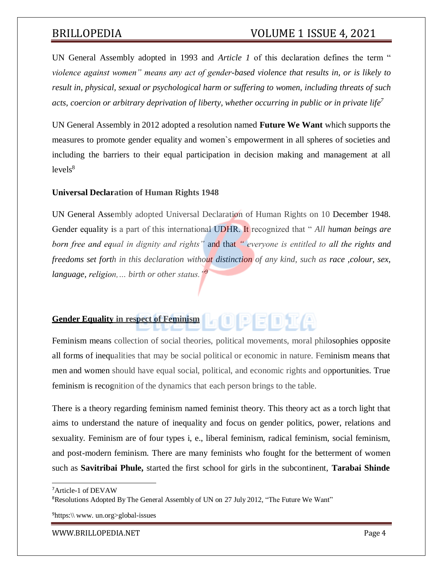# BRILLOPEDIA VOLUME 1 ISSUE 4, 2021

UN General Assembly adopted in 1993 and *Article 1* of this declaration defines the term " *violence against women" means any act of gender-based violence that results in, or is likely to result in, physical, sexual or psychological harm or suffering to women, including threats of such acts, coercion or arbitrary deprivation of liberty, whether occurring in public or in private life<sup>7</sup>*

UN General Assembly in 2012 adopted a resolution named **Future We Want** which supports the measures to promote gender equality and women`s empowerment in all spheres of societies and including the barriers to their equal participation in decision making and management at all  $levels^8$ 

### **Universal Declaration of Human Rights 1948**

UN General Assembly adopted Universal Declaration of Human Rights on 10 December 1948. Gender equality is a part of this international UDHR. It recognized that " *All human beings are born free and equal in dignity and rights"* and that *" everyone is entitled to all the rights and freedoms set forth in this declaration without distinction of any kind, such as race ,colour, sex, language, religion,… birth or other status."<sup>9</sup>*

# **Gender Equality in respect of Feminism**

Feminism means collection of social theories, political movements, moral philosophies opposite all forms of inequalities that may be social political or economic in nature. Feminism means that men and women should have equal social, political, and economic rights and opportunities. True feminism is recognition of the dynamics that each person brings to the table.

There is a theory regarding feminism named feminist theory. This theory act as a torch light that aims to understand the nature of inequality and focus on gender politics, power, relations and sexuality. Feminism are of four types i, e., liberal feminism, radical feminism, social feminism, and post-modern feminism. There are many feminists who fought for the betterment of women such as **Savitribai Phule,** started the first school for girls in the subcontinent, **Tarabai Shinde**

<sup>7</sup>Article-1 of DEVAW

<sup>&</sup>lt;sup>8</sup>Resolutions Adopted By The General Assembly of UN on 27 July 2012, "The Future We Want"

 $^{9}$ https:\\ [www.](http://www/) un.org>global-issues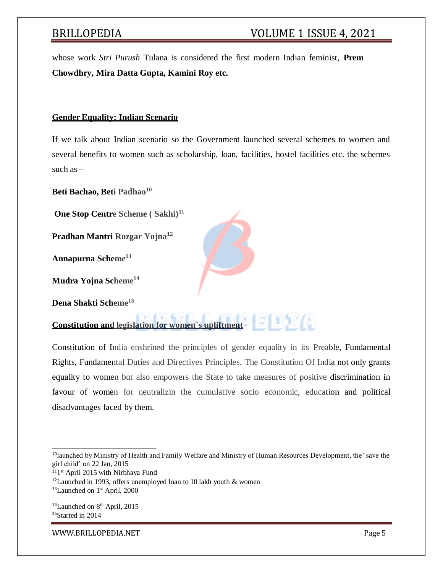whose work *Stri Purush* Tulana is considered the first modern Indian feminist, **Prem Chowdhry, Mira Datta Gupta, Kamini Roy etc.**

### **Gender Equality: Indian Scenario**

If we talk about Indian scenario so the Government launched several schemes to women and several benefits to women such as scholarship, loan, facilities, hostel facilities etc. the schemes such  $as -$ 

**Beti Bachao, Beti Padhao<sup>10</sup>**

**One Stop Centre Scheme ( Sakhi)<sup>11</sup>**

**Pradhan Mantri Rozgar Yojna<sup>12</sup>**

**Annapurna Scheme<sup>13</sup>**

**Mudra Yojna Scheme<sup>14</sup>**

**Dena Shakti Scheme<sup>15</sup>**



Constitution of India enshrined the principles of gender equality in its Preable, Fundamental Rights, Fundamental Duties and Directives Principles. The Constitution Of India not only grants equality to women but also empowers the State to take measures of positive discrimination in favour of women for neutralizin the cumulative socio economic, education and political disadvantages faced by them.

 $14$ Launched on  $8<sup>th</sup>$  April, 2015 <sup>15</sup>Started in 2014

<sup>10</sup>launched by Ministry of Health and Family Welfare and Ministry of Human Resources Development, the' save the girl child' on 22 Jan, 2015

<sup>&</sup>lt;sup>11</sup>1<sup>st</sup> April 2015 with Nirbhaya Fund

 $12$ Launched in 1993, offers unemployed loan to 10 lakh youth & women

<sup>&</sup>lt;sup>13</sup>Launched on 1<sup>st</sup> April, 2000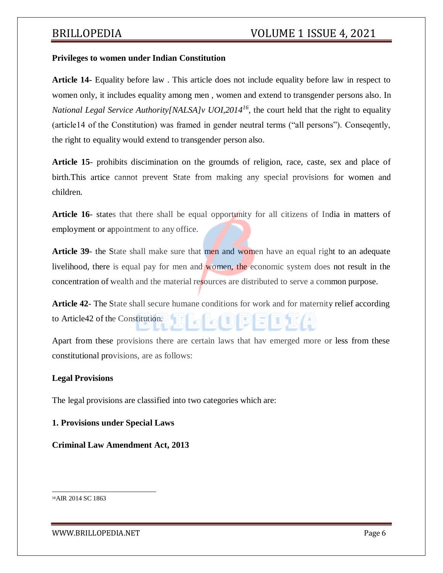### **Privileges to women under Indian Constitution**

**Article 14-** Equality before law . This article does not include equality before law in respect to women only, it includes equality among men , women and extend to transgender persons also. In *National Legal Service Authority[NALSA]v UOI,2014<sup>16</sup>*, the court held that the right to equality (article14 of the Constitution) was framed in gender neutral terms ("all persons"). Conseqently, the right to equality would extend to transgender person also.

**Article 15**- prohibits discimination on the groumds of religion, race, caste, sex and place of birth.This artice cannot prevent State from making any special provisions for women and children.

**Article 16**- states that there shall be equal opportunity for all citizens of India in matters of employment or appointment to any office.

**Article 39-** the State shall make sure that men and women have an equal right to an adequate livelihood, there is equal pay for men and women, the economic system does not result in the concentration of wealth and the material resources are distributed to serve a common purpose.

**Article 42**- The State shall secure humane conditions for work and for maternity relief according to Article42 of the Constitution.

Apart from these provisions there are certain laws that hav emerged more or less from these constitutional provisions, are as follows:

### **Legal Provisions**

The legal provisions are classified into two categories which are:

**1. Provisions under Special Laws**

**Criminal Law Amendment Act, 2013**

<sup>16</sup>AIR 2014 SC 1863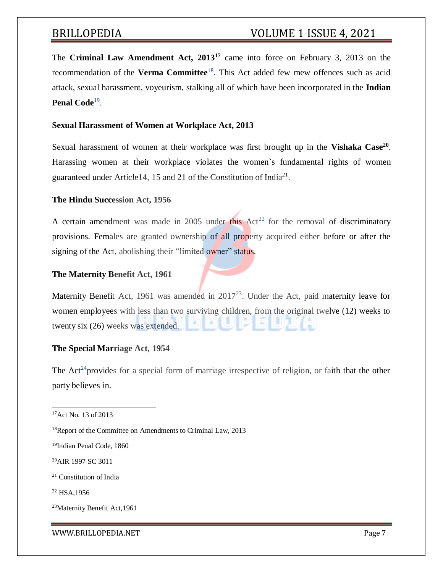The **Criminal Law Amendment Act, 2013<sup>17</sup>** came into force on February 3, 2013 on the recommendation of the **Verma Committee**<sup>18</sup>. This Act added few mew offences such as acid attack, sexual harassment, voyeurism, stalking all of which have been incorporated in the **Indian** Penal Code<sup>19</sup>.

### **Sexual Harassment of Women at Workplace Act, 2013**

Sexual harassment of women at their workplace was first brought up in the **Vishaka Case<sup>20</sup>** . Harassing women at their workplace violates the women`s fundamental rights of women guaranteed under Article14, 15 and 21 of the Constitution of India<sup>21</sup>.

### **The Hindu Succession Act, 1956**

A certain amendment was made in 2005 under this  $Act^{22}$  for the removal of discriminatory provisions. Females are granted ownership of all property acquired either before or after the signing of the Act, abolishing their "limited owner" status.

### **The Maternity Benefit Act, 1961**

Maternity Benefit Act, 1961 was amended in  $2017^{23}$ . Under the Act, paid maternity leave for women employees with less than two surviving children, from the original twelve (12) weeks to twenty six (26) weeks was extended.

### **The Special Marriage Act, 1954**

The Act<sup>24</sup> provides for a special form of marriage irrespective of religion, or faith that the other party believes in.

<sup>20</sup>AIR 1997 SC 3011

<sup>&</sup>lt;sup>17</sup>Act No. 13 of 2013

<sup>&</sup>lt;sup>18</sup>Report of the Committee on Amendments to Criminal Law, 2013

<sup>19</sup>Indian Penal Code, 1860

<sup>21</sup> Constitution of India

<sup>22</sup> HSA,1956

<sup>23</sup>Maternity Benefit Act,1961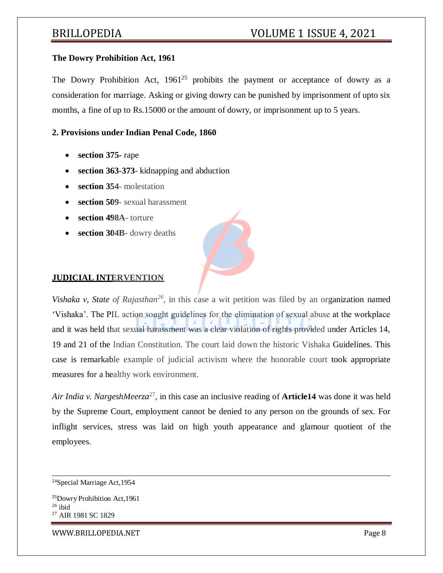### **The Dowry Prohibition Act, 1961**

The Dowry Prohibition Act,  $1961^{25}$  prohibits the payment or acceptance of dowry as a consideration for marriage. Asking or giving dowry can be punished by imprisonment of upto six months, a fine of up to Rs.15000 or the amount of dowry, or imprisonment up to 5 years.

### **2. Provisions under Indian Penal Code, 1860**

- **section 375-** rape
- **section 363-373** kidnapping and abduction
- **section 354** molestation
- **section 509** sexual harassment
- **section 498A** torture
- **section 304B** dowry deaths



### **JUDICIAL INTERVENTION**

Vishaka v, State of Rajasthan<sup>26</sup>, in this case a wit petition was filed by an organization named 'Vishaka'. The PIL action sought guidelines for the elimination of sexual abuse at the workplace and it was held that sexual harassment was a clear violation of rights provided under Articles 14, 19 and 21 of the Indian Constitution. The court laid down the historic Vishaka Guidelines. This case is remarkable example of judicial activism where the honorable court took appropriate measures for a healthy work environment.

*Air India v. NargeshMeerza*<sup>27</sup> , in this case an inclusive reading of **Article14** was done it was held by the Supreme Court, employment cannot be denied to any person on the grounds of sex. For inflight services, stress was laid on high youth appearance and glamour quotient of the employees.

[WWW.BRILLOPEDIA.NET](http://www.brillopedia.net/)

<sup>24</sup>Special Marriage Act,1954

<sup>25</sup>Dowry Prohibition Act,1961  $26$  ibid <sup>27</sup> AIR 1981 SC 1829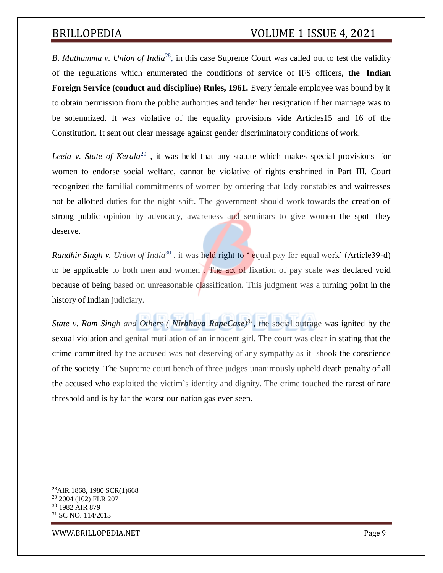# BRILLOPEDIA VOLUME 1 ISSUE 4, 2021

*B. Muthamma v. Union of India*<sup>28</sup> , in this case Supreme Court was called out to test the validity of the regulations which enumerated the conditions of service of IFS officers, **the Indian Foreign Service (conduct and discipline) Rules, 1961.** Every female employee was bound by it to obtain permission from the public authorities and tender her resignation if her marriage was to be solemnized. It was violative of the equality provisions vide Articles15 and 16 of the Constitution. It sent out clear message against gender discriminatory conditions of work.

*Leela v. State of Kerala*<sup>29</sup>, it was held that any statute which makes special provisions for women to endorse social welfare, cannot be violative of rights enshrined in Part III. Court recognized the familial commitments of women by ordering that lady constables and waitresses not be allotted duties for the night shift. The government should work towards the creation of strong public opinion by advocacy, awareness and seminars to give women the spot they deserve.

*Randhir Singh v. Union of India*<sup>30</sup>, it was held right to 'equal pay for equal work' (Article39-d) to be applicable to both men and women . The act of fixation of pay scale was declared void because of being based on unreasonable classification. This judgment was a turning point in the history of Indian judiciary.

*State v. Ram Singh and Others ( Nirbhaya RapeCase) <sup>31</sup>*, the social outrage was ignited by the sexual violation and genital mutilation of an innocent girl. The court was clear in stating that the crime committed by the accused was not deserving of any sympathy as it shook the conscience of the society. The Supreme court bench of three judges unanimously upheld death penalty of all the accused who exploited the victim`s identity and dignity. The crime touched the rarest of rare threshold and is by far the worst our nation gas ever seen.

AIR 1868, 1980 SCR(1)668 2004 (102) FLR 207 1982 AIR 879 SC NO. 114/2013

[WWW.BRILLOPEDIA.NET](http://www.brillopedia.net/)